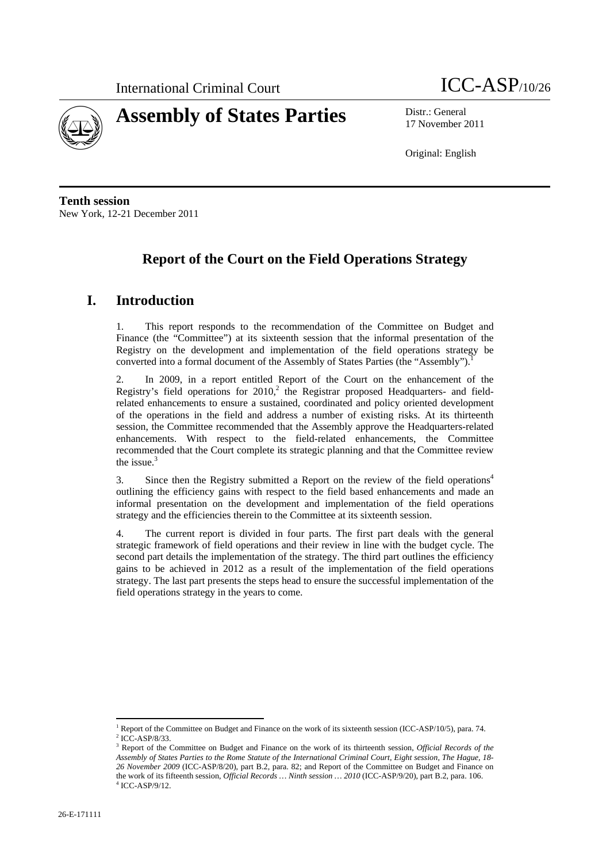



17 November 2011

Original: English

**Tenth session**  New York, 12-21 December 2011

# **Report of the Court on the Field Operations Strategy**

## **I. Introduction**

1. This report responds to the recommendation of the Committee on Budget and Finance (the "Committee") at its sixteenth session that the informal presentation of the Registry on the development and implementation of the field operations strategy be converted into a formal document of the Assembly of States Parties (the "Assembly").

2. In 2009, in a report entitled Report of the Court on the enhancement of the Registry's field operations for  $2010$ ,<sup>2</sup> the Registrar proposed Headquarters- and fieldrelated enhancements to ensure a sustained, coordinated and policy oriented development of the operations in the field and address a number of existing risks. At its thirteenth session, the Committee recommended that the Assembly approve the Headquarters-related enhancements. With respect to the field-related enhancements, the Committee recommended that the Court complete its strategic planning and that the Committee review the issue. $3$ 

3. Since then the Registry submitted a Report on the review of the field operations<sup>4</sup> outlining the efficiency gains with respect to the field based enhancements and made an informal presentation on the development and implementation of the field operations strategy and the efficiencies therein to the Committee at its sixteenth session.

4. The current report is divided in four parts. The first part deals with the general strategic framework of field operations and their review in line with the budget cycle. The second part details the implementation of the strategy. The third part outlines the efficiency gains to be achieved in 2012 as a result of the implementation of the field operations strategy. The last part presents the steps head to ensure the successful implementation of the field operations strategy in the years to come.

 $\overline{a}$ <sup>1</sup> Report of the Committee on Budget and Finance on the work of its sixteenth session (ICC-ASP/10/5), para. 74.  $^{2}$  ICC ASD/22  $\frac{2}{3}$  ICC-ASP/8/33.

Report of the Committee on Budget and Finance on the work of its thirteenth session, *Official Records of the Assembly of States Parties to the Rome Statute of the International Criminal Court, Eight session, The Hague, 18- 26 November 2009* (ICC-ASP/8/20), part B.2, para. 82; and Report of the Committee on Budget and Finance on the work of its fifteenth session, *Official Records … Ninth session … 2010* (ICC-ASP/9/20), part B.2, para. 106. 4  $4$  ICC-ASP/9/12.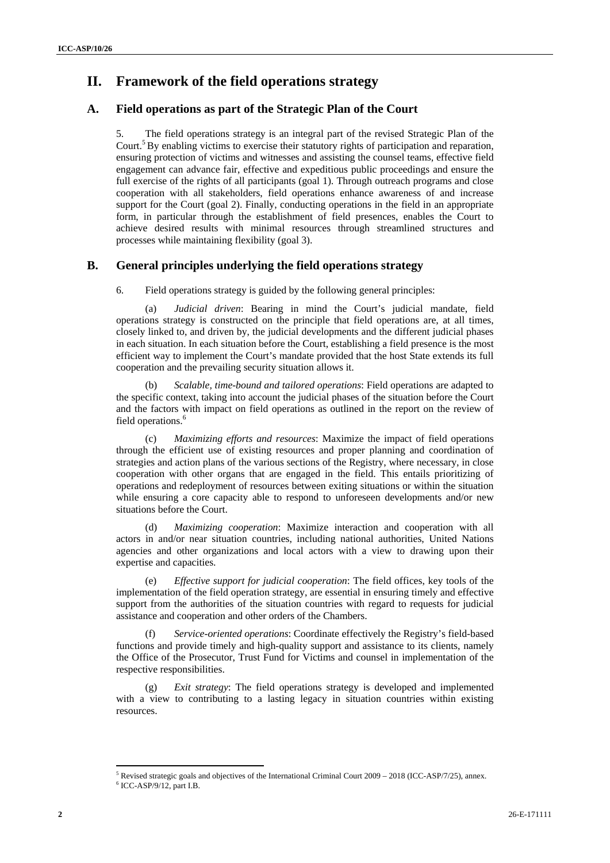# **II. Framework of the field operations strategy**

#### **A. Field operations as part of the Strategic Plan of the Court**

5. The field operations strategy is an integral part of the revised Strategic Plan of the Court.<sup>5</sup> By enabling victims to exercise their statutory rights of participation and reparation, ensuring protection of victims and witnesses and assisting the counsel teams, effective field engagement can advance fair, effective and expeditious public proceedings and ensure the full exercise of the rights of all participants (goal 1). Through outreach programs and close cooperation with all stakeholders, field operations enhance awareness of and increase support for the Court (goal 2). Finally, conducting operations in the field in an appropriate form, in particular through the establishment of field presences, enables the Court to achieve desired results with minimal resources through streamlined structures and processes while maintaining flexibility (goal 3).

#### **B. General principles underlying the field operations strategy**

6. Field operations strategy is guided by the following general principles:

(a) *Judicial driven*: Bearing in mind the Court's judicial mandate, field operations strategy is constructed on the principle that field operations are, at all times, closely linked to, and driven by, the judicial developments and the different judicial phases in each situation. In each situation before the Court, establishing a field presence is the most efficient way to implement the Court's mandate provided that the host State extends its full cooperation and the prevailing security situation allows it.

(b) *Scalable, time-bound and tailored operations*: Field operations are adapted to the specific context, taking into account the judicial phases of the situation before the Court and the factors with impact on field operations as outlined in the report on the review of field operations.<sup>6</sup>

(c) *Maximizing efforts and resources*: Maximize the impact of field operations through the efficient use of existing resources and proper planning and coordination of strategies and action plans of the various sections of the Registry, where necessary, in close cooperation with other organs that are engaged in the field. This entails prioritizing of operations and redeployment of resources between exiting situations or within the situation while ensuring a core capacity able to respond to unforeseen developments and/or new situations before the Court.

(d) *Maximizing cooperation*: Maximize interaction and cooperation with all actors in and/or near situation countries, including national authorities, United Nations agencies and other organizations and local actors with a view to drawing upon their expertise and capacities.

(e) *Effective support for judicial cooperation*: The field offices, key tools of the implementation of the field operation strategy, are essential in ensuring timely and effective support from the authorities of the situation countries with regard to requests for judicial assistance and cooperation and other orders of the Chambers.

(f) *Service-oriented operations*: Coordinate effectively the Registry's field-based functions and provide timely and high-quality support and assistance to its clients, namely the Office of the Prosecutor, Trust Fund for Victims and counsel in implementation of the respective responsibilities.

*Exit strategy*: The field operations strategy is developed and implemented with a view to contributing to a lasting legacy in situation countries within existing resources.

 $\overline{a}$ 

<sup>&</sup>lt;sup>5</sup> Revised strategic goals and objectives of the International Criminal Court 2009 – 2018 (ICC-ASP/7/25), annex.  $^{6}$  ICC ASP/0/12, sort I B

 $6$  ICC-ASP/9/12, part I.B.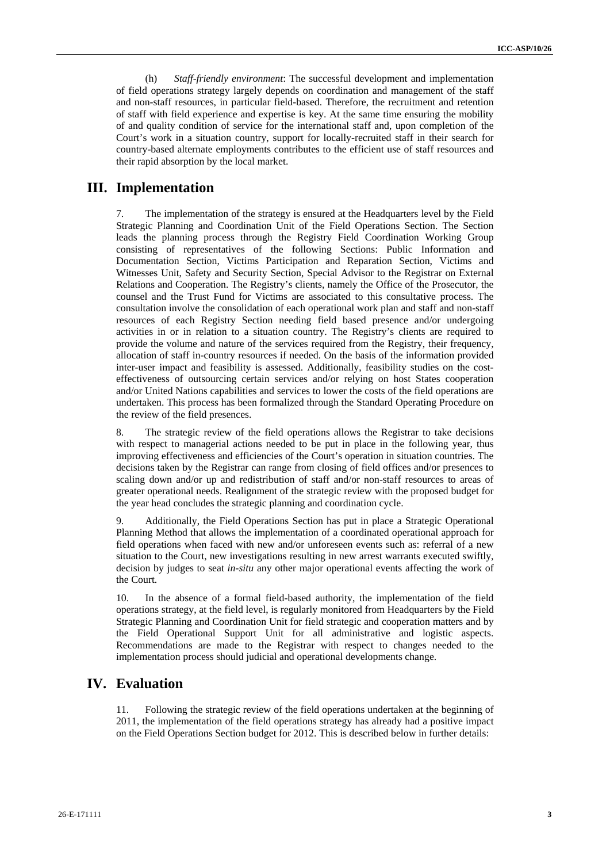(h) *Staff-friendly environment*: The successful development and implementation of field operations strategy largely depends on coordination and management of the staff and non-staff resources, in particular field-based. Therefore, the recruitment and retention of staff with field experience and expertise is key. At the same time ensuring the mobility of and quality condition of service for the international staff and, upon completion of the Court's work in a situation country, support for locally-recruited staff in their search for country-based alternate employments contributes to the efficient use of staff resources and their rapid absorption by the local market.

### **III. Implementation**

7. The implementation of the strategy is ensured at the Headquarters level by the Field Strategic Planning and Coordination Unit of the Field Operations Section. The Section leads the planning process through the Registry Field Coordination Working Group consisting of representatives of the following Sections: Public Information and Documentation Section, Victims Participation and Reparation Section, Victims and Witnesses Unit, Safety and Security Section, Special Advisor to the Registrar on External Relations and Cooperation. The Registry's clients, namely the Office of the Prosecutor, the counsel and the Trust Fund for Victims are associated to this consultative process. The consultation involve the consolidation of each operational work plan and staff and non-staff resources of each Registry Section needing field based presence and/or undergoing activities in or in relation to a situation country. The Registry's clients are required to provide the volume and nature of the services required from the Registry, their frequency, allocation of staff in-country resources if needed. On the basis of the information provided inter-user impact and feasibility is assessed. Additionally, feasibility studies on the costeffectiveness of outsourcing certain services and/or relying on host States cooperation and/or United Nations capabilities and services to lower the costs of the field operations are undertaken. This process has been formalized through the Standard Operating Procedure on the review of the field presences.

8. The strategic review of the field operations allows the Registrar to take decisions with respect to managerial actions needed to be put in place in the following year, thus improving effectiveness and efficiencies of the Court's operation in situation countries. The decisions taken by the Registrar can range from closing of field offices and/or presences to scaling down and/or up and redistribution of staff and/or non-staff resources to areas of greater operational needs. Realignment of the strategic review with the proposed budget for the year head concludes the strategic planning and coordination cycle.

9. Additionally, the Field Operations Section has put in place a Strategic Operational Planning Method that allows the implementation of a coordinated operational approach for field operations when faced with new and/or unforeseen events such as: referral of a new situation to the Court, new investigations resulting in new arrest warrants executed swiftly, decision by judges to seat *in-situ* any other major operational events affecting the work of the Court.

10. In the absence of a formal field-based authority, the implementation of the field operations strategy, at the field level, is regularly monitored from Headquarters by the Field Strategic Planning and Coordination Unit for field strategic and cooperation matters and by the Field Operational Support Unit for all administrative and logistic aspects. Recommendations are made to the Registrar with respect to changes needed to the implementation process should judicial and operational developments change.

## **IV. Evaluation**

11. Following the strategic review of the field operations undertaken at the beginning of 2011, the implementation of the field operations strategy has already had a positive impact on the Field Operations Section budget for 2012. This is described below in further details: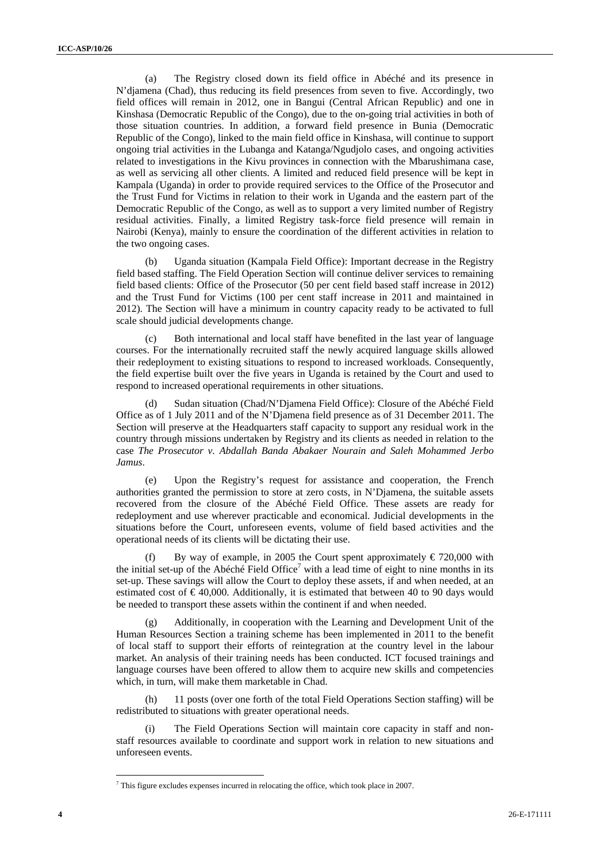(a) The Registry closed down its field office in Abéché and its presence in N'djamena (Chad), thus reducing its field presences from seven to five. Accordingly, two field offices will remain in 2012, one in Bangui (Central African Republic) and one in Kinshasa (Democratic Republic of the Congo), due to the on-going trial activities in both of those situation countries. In addition, a forward field presence in Bunia (Democratic Republic of the Congo), linked to the main field office in Kinshasa, will continue to support ongoing trial activities in the Lubanga and Katanga/Ngudjolo cases, and ongoing activities related to investigations in the Kivu provinces in connection with the Mbarushimana case, as well as servicing all other clients. A limited and reduced field presence will be kept in Kampala (Uganda) in order to provide required services to the Office of the Prosecutor and the Trust Fund for Victims in relation to their work in Uganda and the eastern part of the Democratic Republic of the Congo, as well as to support a very limited number of Registry residual activities. Finally, a limited Registry task-force field presence will remain in Nairobi (Kenya), mainly to ensure the coordination of the different activities in relation to the two ongoing cases.

(b) Uganda situation (Kampala Field Office): Important decrease in the Registry field based staffing. The Field Operation Section will continue deliver services to remaining field based clients: Office of the Prosecutor (50 per cent field based staff increase in 2012) and the Trust Fund for Victims (100 per cent staff increase in 2011 and maintained in 2012). The Section will have a minimum in country capacity ready to be activated to full scale should judicial developments change.

Both international and local staff have benefited in the last year of language courses. For the internationally recruited staff the newly acquired language skills allowed their redeployment to existing situations to respond to increased workloads. Consequently, the field expertise built over the five years in Uganda is retained by the Court and used to respond to increased operational requirements in other situations.

(d) Sudan situation (Chad/N'Djamena Field Office): Closure of the Abéché Field Office as of 1 July 2011 and of the N'Djamena field presence as of 31 December 2011. The Section will preserve at the Headquarters staff capacity to support any residual work in the country through missions undertaken by Registry and its clients as needed in relation to the case *The Prosecutor v. Abdallah Banda Abakaer Nourain and Saleh Mohammed Jerbo Jamus*.

(e) Upon the Registry's request for assistance and cooperation, the French authorities granted the permission to store at zero costs, in N'Djamena, the suitable assets recovered from the closure of the Abéché Field Office. These assets are ready for redeployment and use wherever practicable and economical. Judicial developments in the situations before the Court, unforeseen events, volume of field based activities and the operational needs of its clients will be dictating their use.

(f) By way of example, in 2005 the Court spent approximately  $\epsilon$  720,000 with the initial set-up of the Abéché Field Office<sup>7</sup> with a lead time of eight to nine months in its set-up. These savings will allow the Court to deploy these assets, if and when needed, at an estimated cost of  $\epsilon$ 40,000. Additionally, it is estimated that between 40 to 90 days would be needed to transport these assets within the continent if and when needed.

(g) Additionally, in cooperation with the Learning and Development Unit of the Human Resources Section a training scheme has been implemented in 2011 to the benefit of local staff to support their efforts of reintegration at the country level in the labour market. An analysis of their training needs has been conducted. ICT focused trainings and language courses have been offered to allow them to acquire new skills and competencies which, in turn, will make them marketable in Chad.

(h) 11 posts (over one forth of the total Field Operations Section staffing) will be redistributed to situations with greater operational needs.

The Field Operations Section will maintain core capacity in staff and nonstaff resources available to coordinate and support work in relation to new situations and unforeseen events.

 $\overline{a}$ 

 $<sup>7</sup>$  This figure excludes expenses incurred in relocating the office, which took place in 2007.</sup>